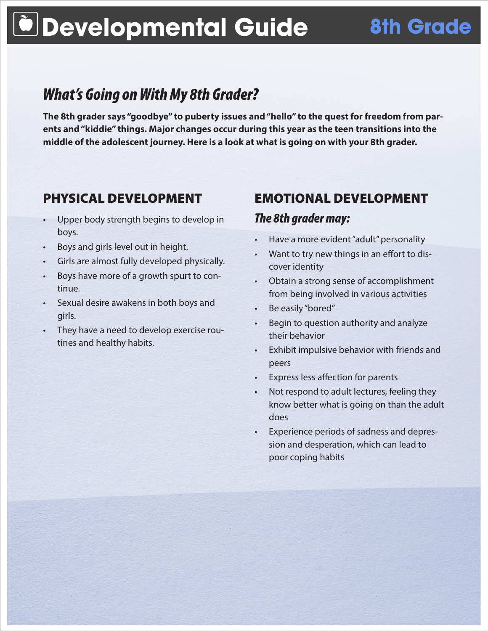# **Developmental Guide 8th Grade**

## *What's Going on With My 8th Grader?*

**The 8th grader says "goodbye" to puberty issues and "hello" to the quest for freedom from parents and "kiddie" things. Major changes occur during this year as the teen transitions into the middle of the adolescent journey. Here is a look at what is going on with your 8th grader.**

#### PHYSICAL DEVELOPMENT

- Upper body strength begins to develop in boys.
- Boys and girls level out in height.
- Girls are almost fully developed physically.
- Boys have more of a growth spurt to continue.
- Sexual desire awakens in both boys and girls.
- They have a need to develop exercise routines and healthy habits.

## EMOTIONAL DEVELOPMENT *The 8th grader may:*

- Have a more evident "adult" personality
- Want to try new things in an effort to discover identity
- • Obtain a strong sense of accomplishment from being involved in various activities
- • Be easily "bored"
- Begin to question authority and analyze their behavior
- • Exhibit impulsive behavior with friends and peers
- Express less affection for parents
- • Not respond to adult lectures, feeling they know better what is going on than the adult does
- Experience periods of sadness and depression and desperation, which can lead to poor coping habits